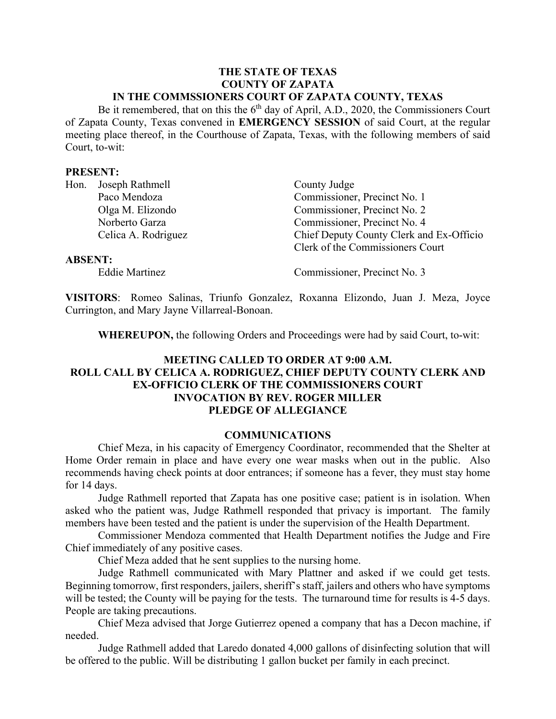#### **THE STATE OF TEXAS COUNTY OF ZAPATA IN THE COMMSSIONERS COURT OF ZAPATA COUNTY, TEXAS**

Be it remembered, that on this the  $6<sup>th</sup>$  day of April, A.D., 2020, the Commissioners Court of Zapata County, Texas convened in **EMERGENCY SESSION** of said Court, at the regular meeting place thereof, in the Courthouse of Zapata, Texas, with the following members of said Court, to-wit:

#### **PRESENT:**

|                | Hon. Joseph Rathmell | County Judge                             |
|----------------|----------------------|------------------------------------------|
|                | Paco Mendoza         | Commissioner, Precinct No. 1             |
|                | Olga M. Elizondo     | Commissioner, Precinct No. 2             |
|                | Norberto Garza       | Commissioner, Precinct No. 4             |
|                | Celica A. Rodriguez  | Chief Deputy County Clerk and Ex-Officio |
|                |                      | Clerk of the Commissioners Court         |
| <b>ABSENT:</b> |                      |                                          |

Eddie Martinez Commissioner, Precinct No. 3

**VISITORS**: Romeo Salinas, Triunfo Gonzalez, Roxanna Elizondo, Juan J. Meza, Joyce Currington, and Mary Jayne Villarreal-Bonoan.

**WHEREUPON,** the following Orders and Proceedings were had by said Court, to-wit:

# **MEETING CALLED TO ORDER AT 9:00 A.M. ROLL CALL BY CELICA A. RODRIGUEZ, CHIEF DEPUTY COUNTY CLERK AND EX-OFFICIO CLERK OF THE COMMISSIONERS COURT INVOCATION BY REV. ROGER MILLER PLEDGE OF ALLEGIANCE**

### **COMMUNICATIONS**

Chief Meza, in his capacity of Emergency Coordinator, recommended that the Shelter at Home Order remain in place and have every one wear masks when out in the public. Also recommends having check points at door entrances; if someone has a fever, they must stay home for 14 days.

Judge Rathmell reported that Zapata has one positive case; patient is in isolation. When asked who the patient was, Judge Rathmell responded that privacy is important. The family members have been tested and the patient is under the supervision of the Health Department.

Commissioner Mendoza commented that Health Department notifies the Judge and Fire Chief immediately of any positive cases.

Chief Meza added that he sent supplies to the nursing home.

Judge Rathmell communicated with Mary Plattner and asked if we could get tests. Beginning tomorrow, first responders, jailers, sheriff's staff, jailers and others who have symptoms will be tested; the County will be paying for the tests. The turnaround time for results is 4-5 days. People are taking precautions.

Chief Meza advised that Jorge Gutierrez opened a company that has a Decon machine, if needed.

Judge Rathmell added that Laredo donated 4,000 gallons of disinfecting solution that will be offered to the public. Will be distributing 1 gallon bucket per family in each precinct.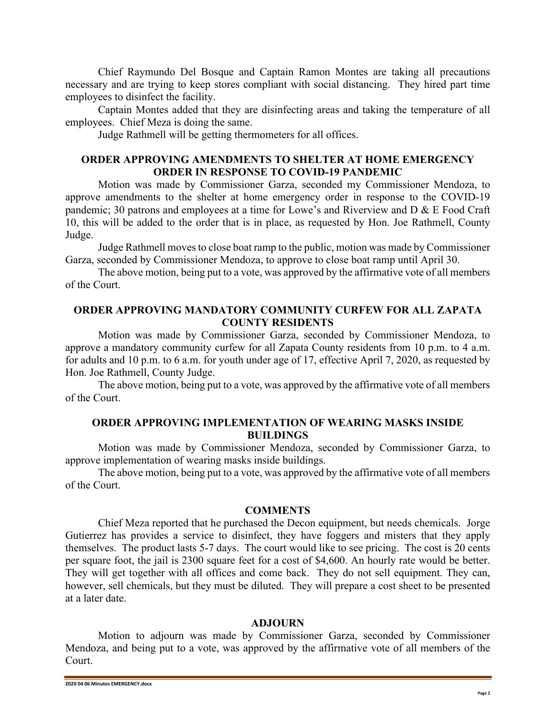Chief Raymundo Del Bosque and Captain Ramon Montes are taking all precautions necessary and are trying to keep stores compliant with social distancing. They hired part time employees to disinfect the facility.

Captain Montes added that they are disinfecting areas and taking the temperature of all employees. Chief Meza is doing the same.

Judge Rathmell will be getting thermometers for all offices.

# **ORDER APPROVING AMENDMENTS TO SHELTER AT HOME EMERGENCY ORDER IN RESPONSE TO COVID-19 PANDEMIC**

Motion was made by Commissioner Garza, seconded my Commissioner Mendoza, to approve amendments to the shelter at home emergency order in response to the COVID-19 pandemic; 30 patrons and employees at a time for Lowe's and Riverview and D & E Food Craft 10, this will be added to the order that is in place, as requested by Hon. Joe Rathmell, County Judge.

Judge Rathmell moves to close boat ramp to the public, motion was made by Commissioner Garza, seconded by Commissioner Mendoza, to approve to close boat ramp until April 30.

The above motion, being put to a vote, was approved by the affirmative vote of all members of the Court.

# **ORDER APPROVING MANDATORY COMMUNITY CURFEW FOR ALL ZAPATA COUNTY RESIDENTS**

Motion was made by Commissioner Garza, seconded by Commissioner Mendoza, to approve a mandatory community curfew for all Zapata County residents from 10 p.m. to 4 a.m. for adults and 10 p.m. to 6 a.m. for youth under age of 17, effective April 7, 2020, as requested by Hon. Joe Rathmell, County Judge.

The above motion, being put to a vote, was approved by the affirmative vote of all members of the Court.

# **ORDER APPROVING IMPLEMENTATION OF WEARING MASKS INSIDE BUILDINGS**

Motion was made by Commissioner Mendoza, seconded by Commissioner Garza, to approve implementation of wearing masks inside buildings.

The above motion, being put to a vote, was approved by the affirmative vote of all members of the Court.

### **COMMENTS**

Chief Meza reported that he purchased the Decon equipment, but needs chemicals. Jorge Gutierrez has provides a service to disinfect, they have foggers and misters that they apply themselves. The product lasts 5-7 days. The court would like to see pricing. The cost is 20 cents per square foot, the jail is 2300 square feet for a cost of \$4,600. An hourly rate would be better. They will get together with all offices and come back. They do not sell equipment. They can, however, sell chemicals, but they must be diluted. They will prepare a cost sheet to be presented at a later date.

#### **ADJOURN**

Motion to adjourn was made by Commissioner Garza, seconded by Commissioner Mendoza, and being put to a vote, was approved by the affirmative vote of all members of the Court.